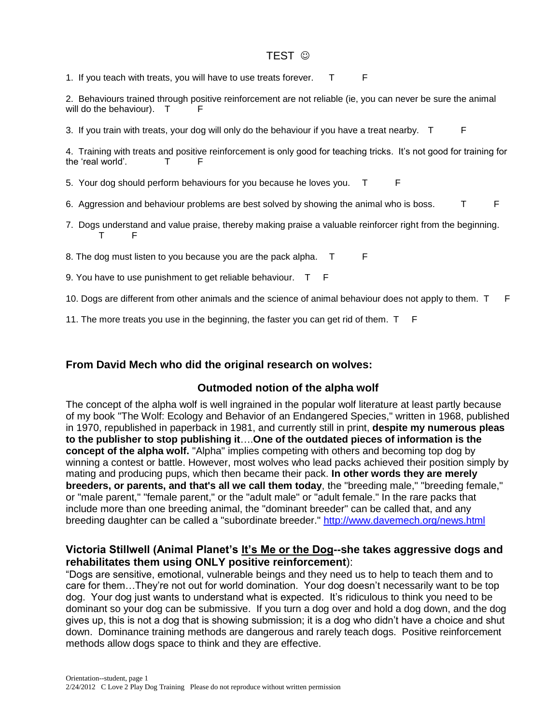#### TEST ©

1. If you teach with treats, you will have to use treats forever. T

2. Behaviours trained through positive reinforcement are not reliable (ie, you can never be sure the animal will do the behaviour).  $T$ 

3. If you train with treats, your dog will only do the behaviour if you have a treat nearby. T F

4. Training with treats and positive reinforcement is only good for teaching tricks. It's not good for training for the 'real world'. T F

5. Your dog should perform behaviours for you because he loves you. T F

- 6. Aggression and behaviour problems are best solved by showing the animal who is boss. T
- 7. Dogs understand and value praise, thereby making praise a valuable reinforcer right from the beginning. T F

8. The dog must listen to you because you are the pack alpha. T F

9. You have to use punishment to get reliable behaviour. T F

10. Dogs are different from other animals and the science of animal behaviour does not apply to them. T F

11. The more treats you use in the beginning, the faster you can get rid of them. T F

#### **From David Mech who did the original research on wolves:**

#### **Outmoded notion of the alpha wolf**

The concept of the alpha wolf is well ingrained in the popular wolf literature at least partly because of my book "The Wolf: Ecology and Behavior of an Endangered Species," written in 1968, published in 1970, republished in paperback in 1981, and currently still in print, **despite my numerous pleas to the publisher to stop publishing it**….**One of the outdated pieces of information is the concept of the alpha wolf.** "Alpha" implies competing with others and becoming top dog by winning a contest or battle. However, most wolves who lead packs achieved their position simply by mating and producing pups, which then became their pack. **In other words they are merely breeders, or parents, and that's all we call them today**, the "breeding male," "breeding female," or "male parent," "female parent," or the "adult male" or "adult female." In the rare packs that include more than one breeding animal, the "dominant breeder" can be called that, and any breeding daughter can be called a "subordinate breeder."<http://www.davemech.org/news.html>

#### **Victoria Stillwell (Animal Planet's It's Me or the Dog--she takes aggressive dogs and rehabilitates them using ONLY positive reinforcement**):

"Dogs are sensitive, emotional, vulnerable beings and they need us to help to teach them and to care for them…They're not out for world domination. Your dog doesn't necessarily want to be top dog. Your dog just wants to understand what is expected. It's ridiculous to think you need to be dominant so your dog can be submissive. If you turn a dog over and hold a dog down, and the dog gives up, this is not a dog that is showing submission; it is a dog who didn't have a choice and shut down. Dominance training methods are dangerous and rarely teach dogs. Positive reinforcement methods allow dogs space to think and they are effective.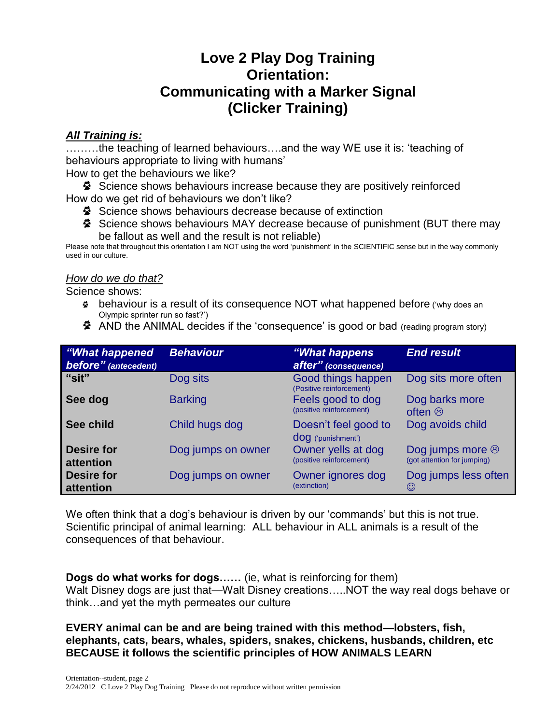# **Love 2 Play Dog Training Orientation: Communicating with a Marker Signal (Clicker Training)**

### *All Training is:*

………the teaching of learned behaviours….and the way WE use it is: 'teaching of behaviours appropriate to living with humans'

How to get the behaviours we like?

Science shows behaviours increase because they are positively reinforced How do we get rid of behaviours we don't like?

- Science shows behaviours decrease because of extinction
- Science shows behaviours MAY decrease because of punishment (BUT there may be fallout as well and the result is not reliable)

Please note that throughout this orientation I am NOT using the word 'punishment' in the SCIENTIFIC sense but in the way commonly used in our culture.

### *How do we do that?*

Science shows:

- behaviour is a result of its consequence NOT what happened before ('why does an Olympic sprinter run so fast?')
- AND the ANIMAL decides if the 'consequence' is good or bad (reading program story)

| "What happened<br>before" (antecedent) | <b>Behaviour</b>   | "What happens"<br>after" (consequence)         | <b>End result</b>                                     |
|----------------------------------------|--------------------|------------------------------------------------|-------------------------------------------------------|
| "sit"                                  | Dog sits           | Good things happen<br>(Positive reinforcement) | Dog sits more often                                   |
| See dog                                | <b>Barking</b>     | Feels good to dog<br>(positive reinforcement)  | Dog barks more<br>often $\odot$                       |
| See child                              | Child hugs dog     | Doesn't feel good to<br>dog ('punishment')     | Dog avoids child                                      |
| <b>Desire for</b><br>attention         | Dog jumps on owner | Owner yells at dog<br>(positive reinforcement) | Dog jumps more $\odot$<br>(got attention for jumping) |
| <b>Desire for</b><br>attention         | Dog jumps on owner | Owner ignores dog<br>(extinction)              | Dog jumps less often<br>$\odot$                       |

We often think that a dog's behaviour is driven by our 'commands' but this is not true. Scientific principal of animal learning: ALL behaviour in ALL animals is a result of the consequences of that behaviour.

**Dogs do what works for dogs……** (ie, what is reinforcing for them) Walt Disney dogs are just that—Walt Disney creations…..NOT the way real dogs behave or think…and yet the myth permeates our culture

**EVERY animal can be and are being trained with this method—lobsters, fish, elephants, cats, bears, whales, spiders, snakes, chickens, husbands, children, etc BECAUSE it follows the scientific principles of HOW ANIMALS LEARN**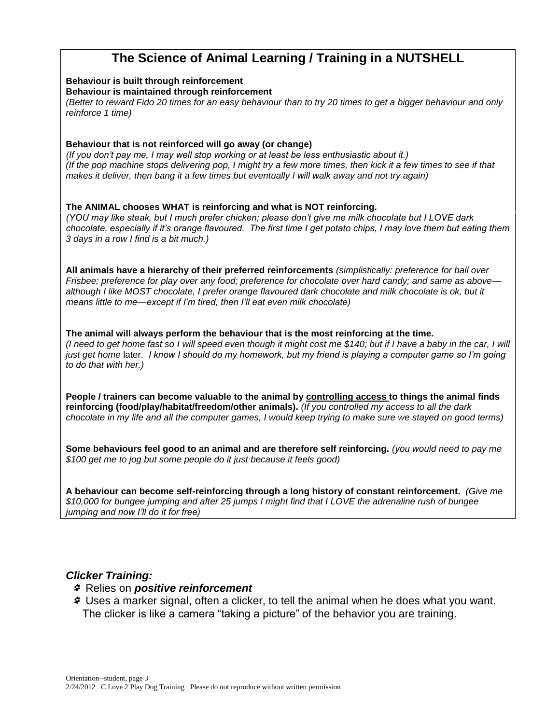# **The Science of Animal Learning / Training in a NUTSHELL**

#### **Behaviour is built through reinforcement Behaviour is maintained through reinforcement** *(Better to reward Fido 20 times for an easy behaviour than to try 20 times to get a bigger behaviour and only reinforce 1 time)*

#### **Behaviour that is not reinforced will go away (or change)**

*(If you don't pay me, I may well stop working or at least be less enthusiastic about it.) (If the pop machine stops delivering pop, I might try a few more times, then kick it a few times to see if that makes it deliver, then bang it a few times but eventually I will walk away and not try again)*

**The ANIMAL chooses WHAT is reinforcing and what is NOT reinforcing.** *(YOU may like steak, but I much prefer chicken; please don't give me milk chocolate but I LOVE dark chocolate, especially if it's orange flavoured. The first time I get potato chips, I may love them but eating them 3 days in a row I find is a bit much.)*

**All animals have a hierarchy of their preferred reinforcements** *(simplistically: preference for ball over Frisbee; preference for play over any food; preference for chocolate over hard candy; and same as above although I like MOST chocolate, I prefer orange flavoured dark chocolate and milk chocolate is ok, but it means little to me—except if I'm tired, then I'll eat even milk chocolate)*

**The animal will always perform the behaviour that is the most reinforcing at the time.** *(I need to get home fast so I will speed even though it might cost me \$140; but if I have a baby in the car, I will just get home* later*. I know I should do my homework, but my friend is playing a computer game so I'm going to do that with her.)*

**People / trainers can become valuable to the animal by controlling access to things the animal finds reinforcing (food/play/habitat/freedom/other animals).** *(If you controlled my access to all the dark chocolate in my life and all the computer games, I would keep trying to make sure we stayed on good terms)*

**Some behaviours feel good to an animal and are therefore self reinforcing.** *(you would need to pay me \$100 get me to jog but some people do it just because it feels good)*

**A behaviour can become self-reinforcing through a long history of constant reinforcement.** *(Give me \$10,000 for bungee jumping and after 25 jumps I might find that I LOVE the adrenaline rush of bungee jumping and now I'll do it for free)*

#### *Clicker Training:*

- Relies on *positive reinforcement*
- Uses a marker signal, often a clicker, to tell the animal when he does what you want. The clicker is like a camera "taking a picture" of the behavior you are training.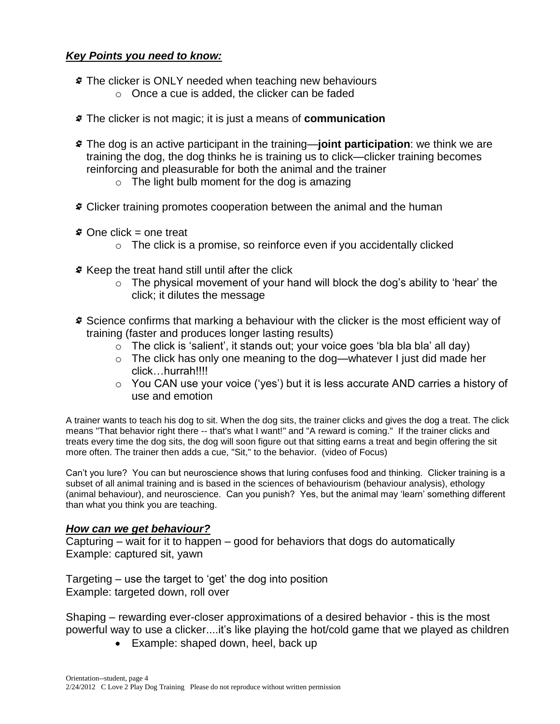#### *Key Points you need to know:*

- The clicker is ONLY needed when teaching new behaviours
	- o Once a cue is added, the clicker can be faded
- The clicker is not magic; it is just a means of **communication**
- The dog is an active participant in the training—**joint participation**: we think we are training the dog, the dog thinks he is training us to click—clicker training becomes reinforcing and pleasurable for both the animal and the trainer
	- $\circ$  The light bulb moment for the dog is amazing
- Clicker training promotes cooperation between the animal and the human
- One click = one treat
	- $\circ$  The click is a promise, so reinforce even if you accidentally clicked
- Keep the treat hand still until after the click
	- $\circ$  The physical movement of your hand will block the dog's ability to 'hear' the click; it dilutes the message
- Science confirms that marking a behaviour with the clicker is the most efficient way of training (faster and produces longer lasting results)
	- $\circ$  The click is 'salient', it stands out; your voice goes 'bla bla bla' all day)
	- o The click has only one meaning to the dog—whatever I just did made her click…hurrah!!!!
	- $\circ$  You CAN use your voice ('yes') but it is less accurate AND carries a history of use and emotion

A trainer wants to teach his dog to sit. When the dog sits, the trainer clicks and gives the dog a treat. The click means "That behavior right there -- that's what I want!" and "A reward is coming." If the trainer clicks and treats every time the dog sits, the dog will soon figure out that sitting earns a treat and begin offering the sit more often. The trainer then adds a cue, "Sit," to the behavior. (video of Focus)

Can't you lure? You can but neuroscience shows that luring confuses food and thinking. Clicker training is a subset of all animal training and is based in the sciences of behaviourism (behaviour analysis), ethology (animal behaviour), and neuroscience. Can you punish? Yes, but the animal may 'learn' something different than what you think you are teaching.

#### *How can we get behaviour?*

Capturing – wait for it to happen – good for behaviors that dogs do automatically Example: captured sit, yawn

Targeting – use the target to 'get' the dog into position Example: targeted down, roll over

Shaping – rewarding ever-closer approximations of a desired behavior - this is the most powerful way to use a clicker....it's like playing the hot/cold game that we played as children

• Example: shaped down, heel, back up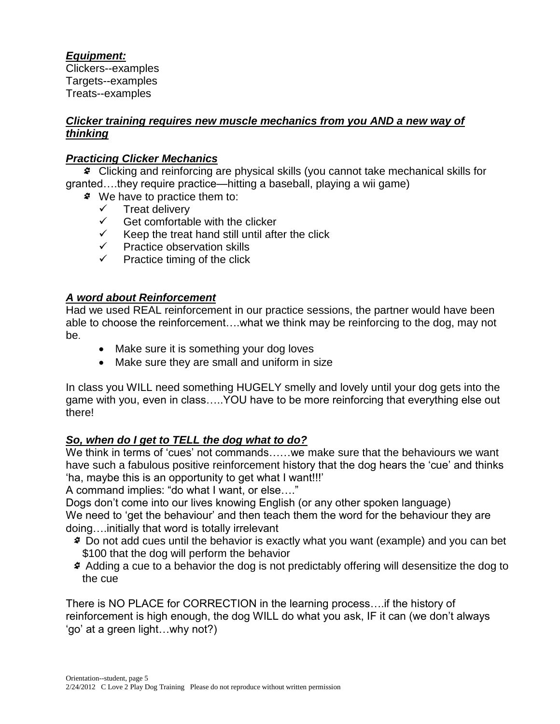### *Equipment:*

Clickers--examples Targets--examples Treats--examples

#### *Clicker training requires new muscle mechanics from you AND a new way of thinking*

### *Practicing Clicker Mechanics*

Clicking and reinforcing are physical skills (you cannot take mechanical skills for granted….they require practice—hitting a baseball, playing a wii game)

- We have to practice them to:
	- $\checkmark$  Treat delivery
	- $\checkmark$  Get comfortable with the clicker<br> $\checkmark$  Keep the treat hand still until after
	- Keep the treat hand still until after the click
	- $\checkmark$  Practice observation skills
	- $\checkmark$  Practice timing of the click

### *A word about Reinforcement*

Had we used REAL reinforcement in our practice sessions, the partner would have been able to choose the reinforcement….what we think may be reinforcing to the dog, may not be.

- Make sure it is something your dog loves
- Make sure they are small and uniform in size

In class you WILL need something HUGELY smelly and lovely until your dog gets into the game with you, even in class…..YOU have to be more reinforcing that everything else out there!

### *So, when do I get to TELL the dog what to do?*

We think in terms of 'cues' not commands......we make sure that the behaviours we want have such a fabulous positive reinforcement history that the dog hears the 'cue' and thinks 'ha, maybe this is an opportunity to get what I want!!!'

A command implies: "do what I want, or else…."

Dogs don't come into our lives knowing English (or any other spoken language) We need to 'get the behaviour' and then teach them the word for the behaviour they are doing….initially that word is totally irrelevant

- Do not add cues until the behavior is exactly what you want (example) and you can bet \$100 that the dog will perform the behavior
- Adding a cue to a behavior the dog is not predictably offering will desensitize the dog to the cue

There is NO PLACE for CORRECTION in the learning process….if the history of reinforcement is high enough, the dog WILL do what you ask, IF it can (we don't always 'go' at a green light…why not?)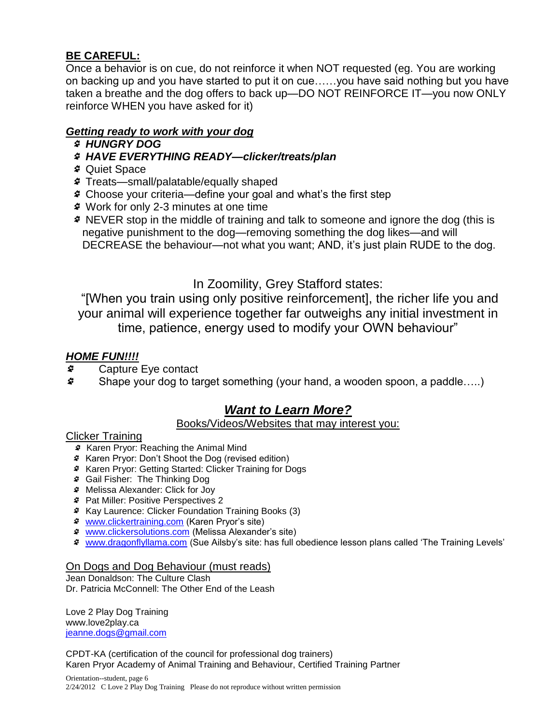### **BE CAREFUL:**

Once a behavior is on cue, do not reinforce it when NOT requested (eg. You are working on backing up and you have started to put it on cue……you have said nothing but you have taken a breathe and the dog offers to back up—DO NOT REINFORCE IT—you now ONLY reinforce WHEN you have asked for it)

### *Getting ready to work with your dog*

- *HUNGRY DOG*
- *HAVE EVERYTHING READY—clicker/treats/plan*
- Quiet Space
- Treats—small/palatable/equally shaped
- Choose your criteria—define your goal and what's the first step
- Work for only 2-3 minutes at one time
- NEVER stop in the middle of training and talk to someone and ignore the dog (this is negative punishment to the dog—removing something the dog likes—and will DECREASE the behaviour—not what you want; AND, it's just plain RUDE to the dog.

# In Zoomility, Grey Stafford states:

"[When you train using only positive reinforcement], the richer life you and your animal will experience together far outweighs any initial investment in time, patience, energy used to modify your OWN behaviour"

### *HOME FUN!!!!*

- S. Capture Eye contact
- ₫. Shape your dog to target something (your hand, a wooden spoon, a paddle…..)

# *Want to Learn More?*

#### Books/Videos/Websites that may interest you:

#### Clicker Training

- **\*** Karen Pryor: Reaching the Animal Mind
- Karen Pryor: Don't Shoot the Dog (revised edition)
- Karen Pryor: Getting Started: Clicker Training for Dogs
- Gail Fisher: The Thinking Dog
- Melissa Alexander: Click for Joy
- Pat Miller: Positive Perspectives 2
- Kay Laurence: Clicker Foundation Training Books (3)
- [www.clickertraining.com](http://www.clickertraining.com/) (Karen Pryor's site)
- [www.clickersolutions.com](http://www.clickersolutions.com/) (Melissa Alexander's site)
- [www.dragonflyllama.com](http://www.dragonflyllama.com/) (Sue Ailsby's site: has full obedience lesson plans called 'The Training Levels'

#### On Dogs and Dog Behaviour (must reads)

Jean Donaldson: The Culture Clash Dr. Patricia McConnell: The Other End of the Leash

Love 2 Play Dog Training www.love2play.ca [jeanne.dogs@gmail.com](mailto:jeanne.dogs@gmail.com)

CPDT-KA (certification of the council for professional dog trainers) Karen Pryor Academy of Animal Training and Behaviour, Certified Training Partner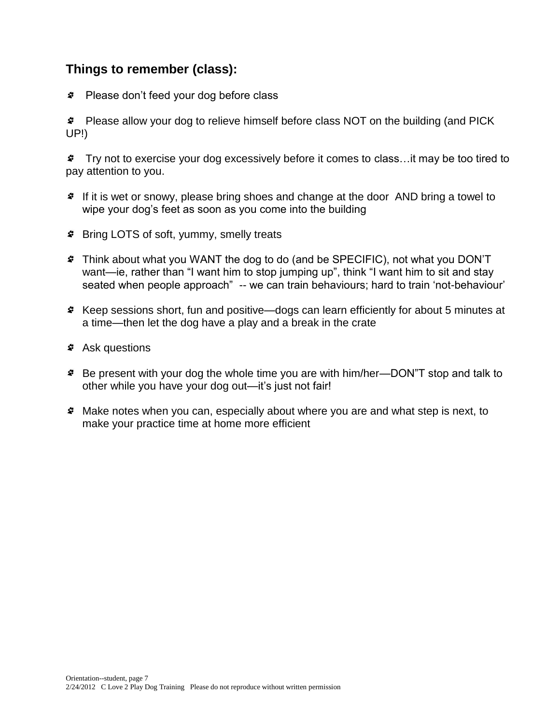# **Things to remember (class):**

Please don't feed your dog before class

Please allow your dog to relieve himself before class NOT on the building (and PICK UP!)

Try not to exercise your dog excessively before it comes to class…it may be too tired to pay attention to you.

- If it is wet or snowy, please bring shoes and change at the door AND bring a towel to wipe your dog's feet as soon as you come into the building
- Bring LOTS of soft, yummy, smelly treats
- Think about what you WANT the dog to do (and be SPECIFIC), not what you DON'T want—ie, rather than "I want him to stop jumping up", think "I want him to sit and stay seated when people approach" -- we can train behaviours; hard to train 'not-behaviour'
- Keep sessions short, fun and positive—dogs can learn efficiently for about 5 minutes at a time—then let the dog have a play and a break in the crate
- Ask questions
- Be present with your dog the whole time you are with him/her—DON"T stop and talk to other while you have your dog out—it's just not fair!
- Make notes when you can, especially about where you are and what step is next, to make your practice time at home more efficient